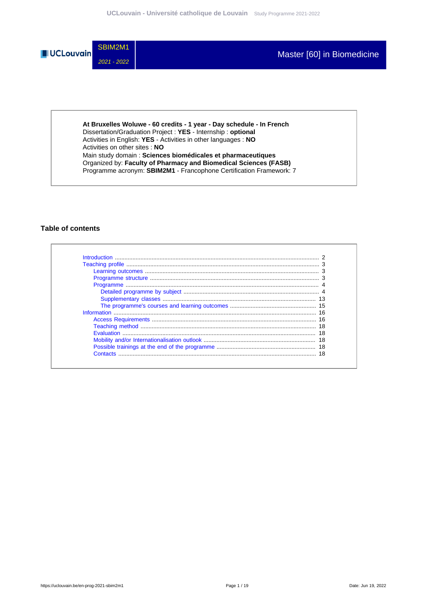

**At Bruxelles Woluwe - 60 credits - 1 year - Day schedule - In French** Dissertation/Graduation Project : **YES** - Internship : **optional** Activities in English: **YES** - Activities in other languages : **NO** Activities on other sites : **NO** Main study domain : **Sciences biomédicales et pharmaceutiques** Organized by: **Faculty of Pharmacy and Biomedical Sciences (FASB)** Programme acronym: **SBIM2M1** - Francophone Certification Framework: 7

### **Table of contents**

| Contacts |  |
|----------|--|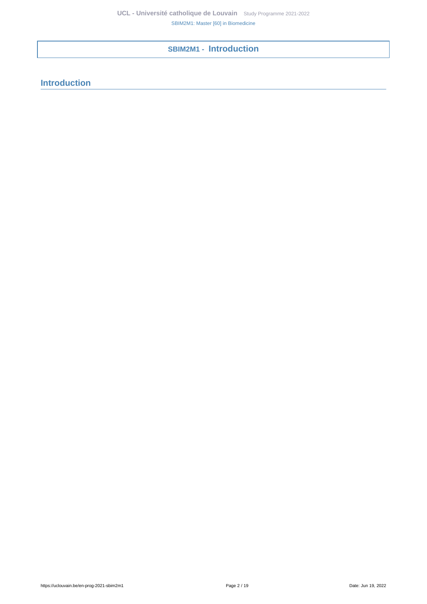**SBIM2M1 - Introduction**

<span id="page-1-0"></span>**Introduction**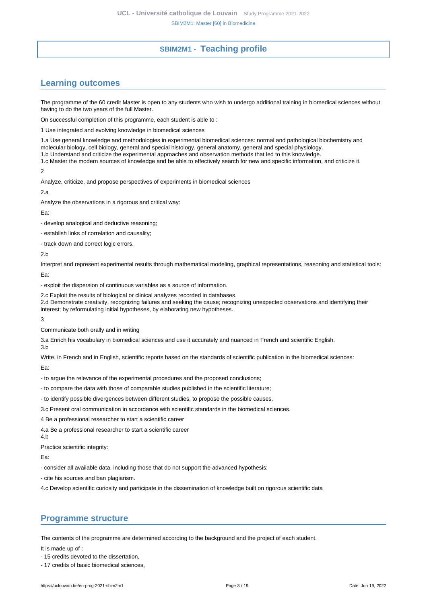# **SBIM2M1 - Teaching profile**

# <span id="page-2-1"></span><span id="page-2-0"></span>**Learning outcomes**

The programme of the 60 credit Master is open to any students who wish to undergo additional training in biomedical sciences without having to do the two years of the full Master.

On successful completion of this programme, each student is able to :

1 Use integrated and evolving knowledge in biomedical sciences

1.a Use general knowledge and methodologies in experimental biomedical sciences: normal and pathological biochemistry and molecular biology, cell biology, general and special histology, general anatomy, general and special physiology.

1.b Understand and criticize the experimental approaches and observation methods that led to this knowledge.

1.c Master the modern sources of knowledge and be able to effectively search for new and specific information, and criticize it.

 $\mathcal{L}$ 

Analyze, criticize, and propose perspectives of experiments in biomedical sciences

 $2a$ 

Analyze the observations in a rigorous and critical way:

Ea:

- develop analogical and deductive reasoning;

- establish links of correlation and causality;

- track down and correct logic errors.

2.b

Interpret and represent experimental results through mathematical modeling, graphical representations, reasoning and statistical tools:

Ea:

- exploit the dispersion of continuous variables as a source of information.

2.c Exploit the results of biological or clinical analyzes recorded in databases.

2.d Demonstrate creativity, recognizing failures and seeking the cause; recognizing unexpected observations and identifying their interest; by reformulating initial hypotheses, by elaborating new hypotheses.

3

Communicate both orally and in writing

3.a Enrich his vocabulary in biomedical sciences and use it accurately and nuanced in French and scientific English.

3.b

Write, in French and in English, scientific reports based on the standards of scientific publication in the biomedical sciences:

Ea:

- to argue the relevance of the experimental procedures and the proposed conclusions;

- to compare the data with those of comparable studies published in the scientific literature;

- to identify possible divergences between different studies, to propose the possible causes.

3.c Present oral communication in accordance with scientific standards in the biomedical sciences.

4 Be a professional researcher to start a scientific career

4.a Be a professional researcher to start a scientific career

4.b

Practice scientific integrity:

Ea:

- consider all available data, including those that do not support the advanced hypothesis;

- cite his sources and ban plagiarism.

4.c Develop scientific curiosity and participate in the dissemination of knowledge built on rigorous scientific data

## <span id="page-2-2"></span>**Programme structure**

The contents of the programme are determined according to the background and the project of each student.

It is made up of :

- 15 credits devoted to the dissertation,

- 17 credits of basic biomedical sciences,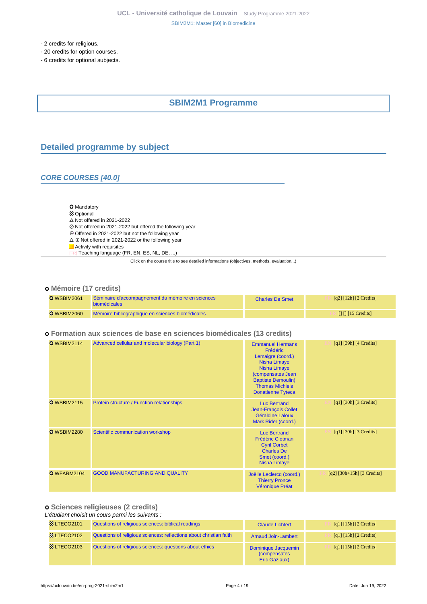- 2 credits for religious,

- 20 credits for option courses,
- <span id="page-3-0"></span>- 6 credits for optional subjects.

# **SBIM2M1 Programme**

# <span id="page-3-1"></span>**Detailed programme by subject**

### **CORE COURSES [40.0]**

#### O Mandatory

- **83 Optional**
- $\Delta$  Not offered in 2021-2022
- Not offered in 2021-2022 but offered the following year
- $\oplus$  Offered in 2021-2022 but not the following year
- $\Delta \oplus$  Not offered in 2021-2022 or the following year
- **Activity with requisites**
- Teaching language (FR, EN, ES, NL, DE, ...)

Click on the course title to see detailed informations (objectives, methods, evaluation...)

### **Mémoire (17 credits)**

| <b>O</b> WSBIM2061 | Séminaire d'accompagnement du mémoire en sciences<br><b>biomédicales</b> | <b>Charles De Smet</b> | $\lceil q^2 \rceil$ $\lceil 12h \rceil$ $\lceil 2 \rceil$ Credits |
|--------------------|--------------------------------------------------------------------------|------------------------|-------------------------------------------------------------------|
| <b>O</b> WSBIM2060 | Mémoire bibliographique en sciences biomédicales                         |                        | $\prod \prod$ 15 Credits                                          |

### **Formation aux sciences de base en sciences biomédicales (13 credits)**

| <b>O</b> WSBIM2114 | Advanced cellular and molecular biology (Part 1) | <b>Emmanuel Hermans</b><br>Frédéric<br>Lemaigre (coord.)<br><b>Nisha Limaye</b><br><b>Nisha Limaye</b><br>(compensates Jean<br><b>Baptiste Demoulin)</b><br><b>Thomas Michiels</b><br><b>Donatienne Tyteca</b> | $[q1]$ [39h] [4 Credits]     |
|--------------------|--------------------------------------------------|----------------------------------------------------------------------------------------------------------------------------------------------------------------------------------------------------------------|------------------------------|
| <b>O</b> WSBIM2115 | Protein structure / Function relationships       | <b>Luc Bertrand</b><br>Jean-François Collet<br><b>Géraldine Laloux</b><br>Mark Rider (coord.)                                                                                                                  | $[q1]$ [30h] [3 Credits]     |
| <b>O</b> WSBIM2280 | Scientific communication workshop                | <b>Luc Bertrand</b><br><b>Frédéric Clotman</b><br><b>Cyril Corbet</b><br><b>Charles De</b><br>Smet (coord.)<br><b>Nisha Limaye</b>                                                                             | $[q1]$ [30h] [3 Credits]     |
| O WFARM2104        | <b>GOOD MANUFACTURING AND QUALITY</b>            | Joëlle Leclercq (coord.)<br><b>Thierry Pronce</b><br>Véronique Préat                                                                                                                                           | $[q2]$ [30h+15h] [3 Credits] |

# **Sciences religieuses (2 credits)**

#### L'étudiant choisit un cours parmi les suivants :

| <b>&amp; LTECO2101</b> | Questions of religious sciences: biblical readings                 | <b>Claude Lichtert</b>                                              | $\lceil q_1 \rceil \lceil 15h \rceil \lceil 2 \right]$ Credits |
|------------------------|--------------------------------------------------------------------|---------------------------------------------------------------------|----------------------------------------------------------------|
| <b>&amp; LTECO2102</b> | Questions of religious sciences: reflections about christian faith | <b>Arnaud Join-Lambert</b>                                          | [q1] $[15h]$ [2 Credits]                                       |
| <b>&amp; LTECO2103</b> | Questions of religious sciences: questions about ethics            | Dominique Jacquemin<br><i>(compensates)</i><br><b>Eric Gaziaux)</b> | $\lceil q_1 \rceil$ [15h] [2 Credits]                          |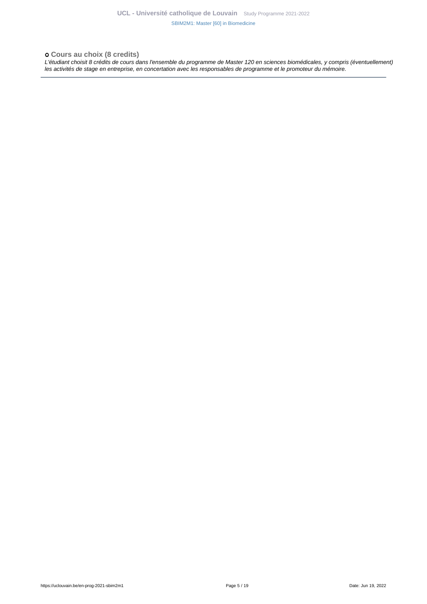### **Cours au choix (8 credits)**

L'étudiant choisit 8 crédits de cours dans l'ensemble du programme de Master 120 en sciences biomédicales, y compris (éventuellement) les activités de stage en entreprise, en concertation avec les responsables de programme et le promoteur du mémoire.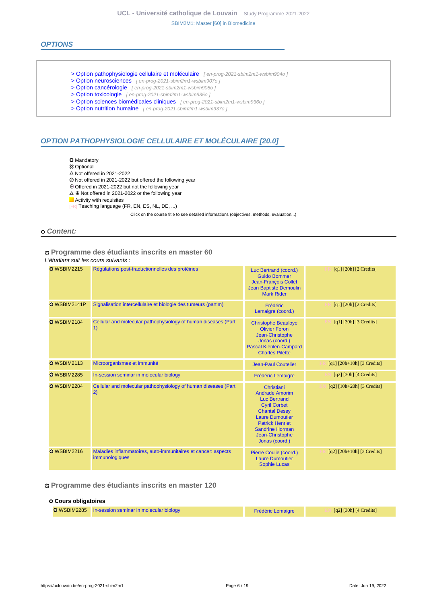### **OPTIONS**

- [> Option pathophysiologie cellulaire et moléculaire](en-prog-2021-sbim2m1-wsbim904o) [en-prog-2021-sbim2m1-wsbim904o]
- [> Option neurosciences](en-prog-2021-sbim2m1-wsbim907o) [en-prog-2021-sbim2m1-wsbim907o ]
- [> Option cancérologie](en-prog-2021-sbim2m1-wsbim908o) [en-prog-2021-sbim2m1-wsbim908o]
- [> Option toxicologie](en-prog-2021-sbim2m1-wsbim935o) [ en-prog-2021-sbim2m1-wsbim935o ]
- [> Option sciences biomédicales cliniques](en-prog-2021-sbim2m1-wsbim936o) [en-prog-2021-sbim2m1-wsbim936o ]
- [> Option nutrition humaine](en-prog-2021-sbim2m1-wsbim937o) [ en-prog-2021-sbim2m1-wsbim937o ]

# **OPTION PATHOPHYSIOLOGIE CELLULAIRE ET MOLÉCULAIRE [20.0]**

- **O** Mandatory
- **83 Optional**
- $\triangle$  Not offered in 2021-2022
- Not offered in 2021-2022 but offered the following year
- Offered in 2021-2022 but not the following year
- $\Delta \oplus$  Not offered in 2021-2022 or the following year
- **Activity with requisites**
- Teaching language (FR, EN, ES, NL, DE, ...)

Click on the course title to see detailed informations (objectives, methods, evaluation...)

#### **Content:**

#### **Programme des étudiants inscrits en master 60** L'étudiant suit les cours suivants :

| <b>O</b> WSBIM2215 | Réqulations post-traductionnelles des protéines                                 | Luc Bertrand (coord.)<br><b>Guido Bommer</b><br>Jean-François Collet<br><b>Jean Baptiste Demoulin</b><br><b>Mark Rider</b>                                                                                                   | $[q1]$ [20h] [2 Credits]         |
|--------------------|---------------------------------------------------------------------------------|------------------------------------------------------------------------------------------------------------------------------------------------------------------------------------------------------------------------------|----------------------------------|
| O WSBIM2141P       | Signalisation intercellulaire et biologie des tumeurs (partim)                  | Frédéric<br>Lemaigre (coord.)                                                                                                                                                                                                | $[q1]$ [20h] [2 Credits]         |
| <b>O</b> WSBIM2184 | Cellular and molecular pathophysiology of human diseases (Part<br>1)            | <b>Christophe Beauloye</b><br><b>Olivier Feron</b><br>Jean-Christophe<br>Jonas (coord.)<br><b>Pascal Kienlen-Campard</b><br><b>Charles Pilette</b>                                                                           | $[q1]$ [30h] [3 Credits]         |
| <b>O</b> WSBIM2113 | Microorganismes et immunité                                                     | <b>Jean-Paul Coutelier</b>                                                                                                                                                                                                   | $[q1]$ [20h+10h] [3 Credits]     |
| <b>O</b> WSBIM2285 | In-session seminar in molecular biology                                         | <b>Frédéric Lemaigre</b>                                                                                                                                                                                                     | $[q2]$ [30h] [4 Credits]         |
| <b>O</b> WSBIM2284 | Cellular and molecular pathophysiology of human diseases (Part<br>2)            | Christiani<br><b>Andrade Amorim</b><br><b>Luc Bertrand</b><br><b>Cyril Corbet</b><br><b>Chantal Dessy</b><br><b>Laure Dumoutier</b><br><b>Patrick Henriet</b><br><b>Sandrine Horman</b><br>Jean-Christophe<br>Jonas (coord.) | $[q2] [10h+20h] [3 Credits]$     |
| <b>O</b> WSBIM2216 | Maladies inflammatoires, auto-immunitaires et cancer: aspects<br>immunologiques | Pierre Coulie (coord.)<br><b>Laure Dumoutier</b><br><b>Sophie Lucas</b>                                                                                                                                                      | $[q2]$ $[20h+10h]$ $[3$ Credits] |

#### **Programme des étudiants inscrits en master 120**

## **Cours obligatoires** O WSBIM2285 [In-session seminar in molecular biology](https://uclouvain.be/cours-2021-WSBIM2285) **[Frédéric Lemaigre](https://uclouvain.be/repertoires/frederic.lemaigre)** Frédéric Lemaigre **EN 1999** [q2] [30h] [4 Credits]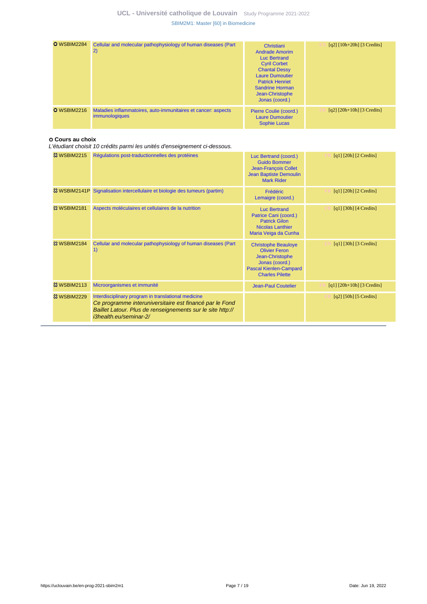| <b>O</b> WSBIM2284 | Cellular and molecular pathophysiology of human diseases (Part<br>$\left( 2\right)$    | Christiani<br><b>Andrade Amorim</b><br>Luc Bertrand<br><b>Cyril Corbet</b><br><b>Chantal Dessy</b><br><b>Laure Dumoutier</b><br><b>Patrick Henriet</b><br><b>Sandrine Horman</b><br>Jean-Christophe<br>Jonas (coord.) | $[q2] [10h+20h] [3 Credits]$     |
|--------------------|----------------------------------------------------------------------------------------|-----------------------------------------------------------------------------------------------------------------------------------------------------------------------------------------------------------------------|----------------------------------|
| <b>O</b> WSBIM2216 | Maladies inflammatoires, auto-immunitaires et cancer: aspects<br><i>immunologiques</i> | Pierre Coulie (coord.)<br><b>Laure Dumoutier</b><br><b>Sophie Lucas</b>                                                                                                                                               | $[q2]$ $[20h+10h]$ $[3$ Credits] |

#### **Cours au choix**

L'étudiant choisit 10 crédits parmi les unités d'enseignement ci-dessous.

| <b>83 WSBIM2215</b>    | Régulations post-traductionnelles des protéines                                                                                                                                                        | Luc Bertrand (coord.)<br><b>Guido Bommer</b><br>Jean-François Collet<br><b>Jean Baptiste Demoulin</b><br><b>Mark Rider</b>                         | $[q1]$ [20h] [2 Credits]         |
|------------------------|--------------------------------------------------------------------------------------------------------------------------------------------------------------------------------------------------------|----------------------------------------------------------------------------------------------------------------------------------------------------|----------------------------------|
|                        | & WSBIM2141P Signalisation intercellulaire et biologie des tumeurs (partim)                                                                                                                            | <b>Frédéric</b><br>Lemaigre (coord.)                                                                                                               | $[q1]$ [20h] [2 Credits]         |
| <b>&amp; WSBIM2181</b> | Aspects moléculaires et cellulaires de la nutrition                                                                                                                                                    | <b>Luc Bertrand</b><br>Patrice Cani (coord.)<br><b>Patrick Gilon</b><br><b>Nicolas Lanthier</b><br>Maria Veiga da Cunha                            | $[q1]$ [30h] [4 Credits]         |
| <b>&amp; WSBIM2184</b> | Cellular and molecular pathophysiology of human diseases (Part<br>1)                                                                                                                                   | <b>Christophe Beauloye</b><br><b>Olivier Feron</b><br>Jean-Christophe<br>Jonas (coord.)<br><b>Pascal Kienlen-Campard</b><br><b>Charles Pilette</b> | $[q1]$ [30h] [3 Credits]         |
| <b>&amp; WSBIM2113</b> | Microorganismes et immunité                                                                                                                                                                            | <b>Jean-Paul Coutelier</b>                                                                                                                         | $[q1]$ $[20h+10h]$ $[3$ Credits] |
| <b>83 WSBIM2229</b>    | Interdisciplinary program in translational medicine<br>Ce programme interuniversitaire est financé par le Fond<br>Baillet Latour. Plus de renseignements sur le site http://<br>i3health.eu/seminar-2/ |                                                                                                                                                    | $[q2]$ [50h] [5 Credits]         |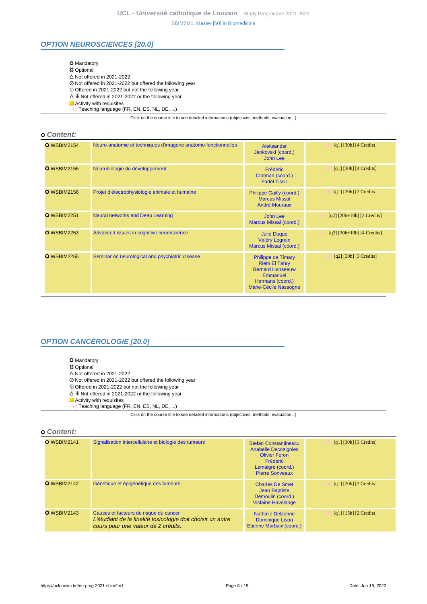### **OPTION NEUROSCIENCES [20.0]**

| <b>O</b> Mandatory                                                                       |  |
|------------------------------------------------------------------------------------------|--|
| <b>惢 Optional</b>                                                                        |  |
| $\triangle$ Not offered in 2021-2022                                                     |  |
| ⊘ Not offered in 2021-2022 but offered the following year                                |  |
| $\oplus$ Offered in 2021-2022 but not the following year                                 |  |
| $\Delta \oplus$ Not offered in 2021-2022 or the following vear                           |  |
| $\blacksquare$ Activity with requisites                                                  |  |
| [FR] Teaching language (FR, EN, ES, NL, DE, )                                            |  |
| Click on the course title to see detailed informations (objectives, methods, evaluation) |  |

#### **Content:**

| <b>O</b> WSBIM2154 | Neuro-anatomie et techniques d'imagerie anatomo-fonctionnelles | Aleksandar<br>Jankovski (coord.)<br>John Lee                                                                                          | $\lceil q_1 \rceil$ [30h] $\lceil 4 \right]$ Credits] |
|--------------------|----------------------------------------------------------------|---------------------------------------------------------------------------------------------------------------------------------------|-------------------------------------------------------|
| <b>O</b> WSBIM2155 | Neurobiologie du développement                                 | Frédéric<br>Clotman (coord.)<br><b>Fadel Tissir</b>                                                                                   | $\lceil q_1 \rceil$ [30h] $\lceil 4 \right]$ Credits] |
| <b>O</b> WSBIM2156 | Projet d'électrophysiologie animale et humaine                 | Philippe Gailly (coord.)<br><b>Marcus Missal</b><br><b>André Mouraux</b>                                                              | $[q1]$ [20h] [2 Credits]                              |
| <b>O</b> WSBIM2251 | <b>Neural networks and Deep Learning</b>                       | John Lee<br>Marcus Missal (coord.)                                                                                                    | $[q2]$ $[20h+10h]$ $[3$ Credits]                      |
| <b>O</b> WSBIM2253 | Advanced issues in cognitive neuroscience                      | <b>Julie Duque</b><br>Valéry Legrain<br>Marcus Missal (coord.)                                                                        | $[q2]$ [30h+10h] [4 Credits]                          |
| <b>O</b> WSBIM2255 | Seminar on neurological and psychiatric disease                | <b>Philippe de Timary</b><br><b>Riëm El Tahry</b><br><b>Bernard Hanseeuw</b><br>Emmanuel<br>Hermans (coord.)<br>Marie-Cécile Nassogne | $[q2]$ [30h] [3 Credits]                              |

# **OPTION CANCÉROLOGIE [20.0]**

- **O** Mandatory
- Optional
- $\triangle$  Not offered in 2021-2022
- Not offered in 2021-2022 but offered the following year
- Offered in 2021-2022 but not the following year
- $\Delta \oplus$  Not offered in 2021-2022 or the following year
- Activity with requisites [FR] Teaching language (FR, EN, ES, NL, DE, ...)

Click on the course title to see detailed informations (objectives, methods, evaluation...)

#### **Content:**

| <b>O</b> WSBIM2141 | Signalisation intercellulaire et biologie des tumeurs                                                                                        | <b>Stefan Constantinescu</b><br><b>Anabelle Decottignies</b><br><b>Olivier Feron</b><br><b>Frédéric</b><br>Lemaigre (coord.)<br><b>Pierre Sonveaux</b> | $\lceil q_1 \rceil$ [30h] [3 Credits]                             |
|--------------------|----------------------------------------------------------------------------------------------------------------------------------------------|--------------------------------------------------------------------------------------------------------------------------------------------------------|-------------------------------------------------------------------|
| <b>O</b> WSBIM2142 | Génétique et épigénétique des tumeurs                                                                                                        | <b>Charles De Smet</b><br><b>Jean Baptiste</b><br>Demoulin (coord.)<br><b>Violaine Havelange</b>                                                       | $\lceil q_1 \rceil$ $\lceil 20h \rceil$ $\lceil 2 \rceil$ Credits |
| <b>O</b> WSBIM2143 | Causes et facteurs de risque du cancer<br>L'étudiant de la finalité toxicologie doit choisir un autre<br>cours pour une valeur de 2 crédits. | <b>Nathalie Delzenne</b><br><b>Dominique Lison</b><br>Etienne Marbaix (coord.)                                                                         | $\lceil q_1 \rceil$ [15h] $\lceil 2 \right\rceil$ Credits]        |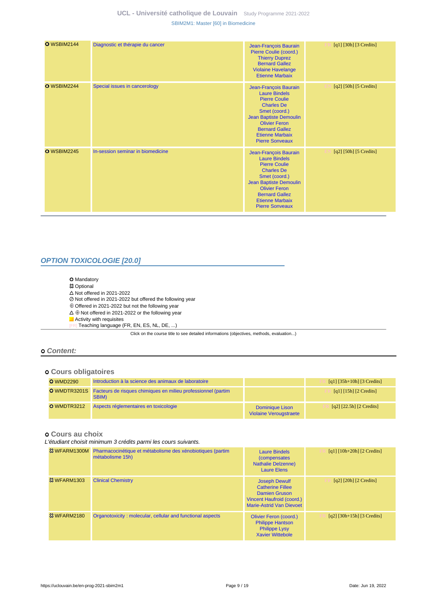| <b>O</b> WSBIM2144 | Diagnostic et thérapie du cancer  | Jean-François Baurain<br>Pierre Coulie (coord.)<br><b>Thierry Duprez</b><br><b>Bernard Gallez</b><br><b>Violaine Havelange</b><br><b>Etienne Marbaix</b>                                                                                   | $[q1]$ [30h] [3 Credits] |
|--------------------|-----------------------------------|--------------------------------------------------------------------------------------------------------------------------------------------------------------------------------------------------------------------------------------------|--------------------------|
| O WSBIM2244        | Special issues in cancerology     | Jean-François Baurain<br><b>Laure Bindels</b><br><b>Pierre Coulie</b><br><b>Charles De</b><br>Smet (coord.)<br>Jean Baptiste Demoulin<br><b>Olivier Feron</b><br><b>Bernard Gallez</b><br><b>Etienne Marbaix</b><br><b>Pierre Sonveaux</b> | [q2] [50h] [5 Credits]   |
| <b>O</b> WSBIM2245 | In-session seminar in biomedicine | Jean-François Baurain<br><b>Laure Bindels</b><br><b>Pierre Coulie</b><br><b>Charles De</b><br>Smet (coord.)<br>Jean Baptiste Demoulin<br><b>Olivier Feron</b><br><b>Bernard Gallez</b><br><b>Etienne Marbaix</b><br><b>Pierre Sonveaux</b> | $[q2]$ [50h] [5 Credits] |

## **OPTION TOXICOLOGIE [20.0]**

- **O** Mandatory
- **83 Optional**
- $\Delta$  Not offered in 2021-2022
- Not offered in 2021-2022 but offered the following year
- $\oplus$  Offered in 2021-2022 but not the following year
- $\Delta \oplus$  Not offered in 2021-2022 or the following year
- Activity with requisites
- [FR] Teaching language (FR, EN, ES, NL, DE, ...)

Click on the course title to see detailed informations (objectives, methods, evaluation...)

### **Content:**

### **Cours obligatoires**

| <b>O</b> WMD2290 | Introduction à la science des animaux de laboratoire                                       |                                                  | [q1] $[35h+10h]$ [3 Credits] |
|------------------|--------------------------------------------------------------------------------------------|--------------------------------------------------|------------------------------|
|                  | <b>O</b> WMDTR3201S Facteurs de risques chimiques en milieu professionnel (partim<br>SBIM) |                                                  | [q1] $[15h]$ [2 Credits]     |
| O WMDTR3212      | Aspects réglementaires en toxicologie                                                      | Dominique Lison<br><b>Violaine Verougstraete</b> | [q2] $[22.5h]$ $[2$ Credits] |

#### **Cours au choix**

L'étudiant choisit minimum 3 crédits parmi les cours suivants.

|                        | & WFARM1300M Pharmacocinétique et métabolisme des xénobiotiques (partim<br>métabolisme 15h) | <b>Laure Bindels</b><br><i>(compensates)</i><br><b>Nathalie Delzenne)</b><br><b>Laure Elens</b>                                         | $[q1] [10h+20h] [2 Credits]$                                      |
|------------------------|---------------------------------------------------------------------------------------------|-----------------------------------------------------------------------------------------------------------------------------------------|-------------------------------------------------------------------|
| <b>&amp; WFARM1303</b> | <b>Clinical Chemistry</b>                                                                   | <b>Joseph Dewulf</b><br><b>Catherine Fillee</b><br><b>Damien Gruson</b><br>Vincent Haufroid (coord.)<br><b>Marie-Astrid Van Dievoet</b> | $\lceil q^2 \rceil$ $\lceil 20h \rceil$ $\lceil 2 \rceil$ Credits |
| <b>&amp; WFARM2180</b> | Organotoxicity: molecular, cellular and functional aspects                                  | Olivier Feron (coord.)<br><b>Philippe Hantson</b><br><b>Philippe Lysy</b><br><b>Xavier Wittebole</b>                                    | $\lceil q^2 \rceil \lceil 30h + 15h \rceil \lceil 3 \right]$      |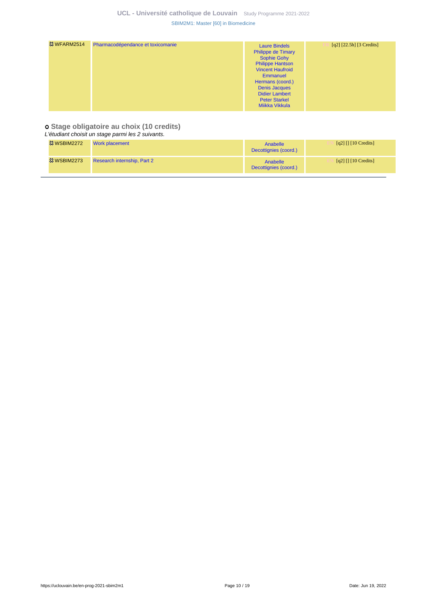| $[q2]$ [22.5h] [3 Credits]<br><b>Laure Bindels</b><br><b>Philippe de Timary</b><br><b>Sophie Gohy</b><br><b>Philippe Hantson</b><br><b>Vincent Haufroid</b><br>Emmanuel<br>Hermans (coord.)<br><b>Denis Jacques</b><br><b>Didier Lambert</b><br><b>Peter Starkel</b><br>Miikka Vikkula |                        |                                   |  |
|----------------------------------------------------------------------------------------------------------------------------------------------------------------------------------------------------------------------------------------------------------------------------------------|------------------------|-----------------------------------|--|
|                                                                                                                                                                                                                                                                                        | <b>&amp; WFARM2514</b> | Pharmacodépendance et toxicomanie |  |

### **Stage obligatoire au choix (10 credits)**

| L'étudiant choisit un stage parmi les 2 suivants. |                             |                                   |                                                    |  |
|---------------------------------------------------|-----------------------------|-----------------------------------|----------------------------------------------------|--|
| <b>&amp; WSBIM2272</b>                            | Work placement              | Anabelle<br>Decottignies (coord.) | $\lceil q^2 \rceil \lceil \lceil 10 \rceil \rceil$ |  |
| <b>23 WSBIM2273</b>                               | Research internship, Part 2 | Anabelle<br>Decottignies (coord.) | $\lceil q^2 \rceil \lceil \lceil 10 \rceil \rceil$ |  |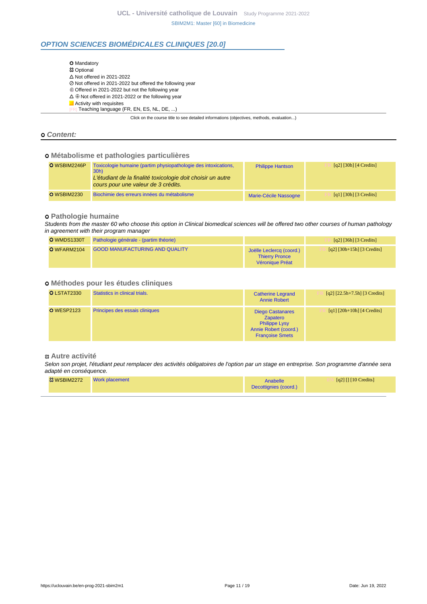# **OPTION SCIENCES BIOMÉDICALES CLINIQUES [20.0]**

| <b>O</b> Mandatory                                                                       |
|------------------------------------------------------------------------------------------|
| <b>83 Optional</b>                                                                       |
| $\triangle$ Not offered in 2021-2022                                                     |
| ⊘ Not offered in 2021-2022 but offered the following year                                |
| $\oplus$ Offered in 2021-2022 but not the following year                                 |
| $\Delta \oplus$ Not offered in 2021-2022 or the following year                           |
| Activity with requisites                                                                 |
| Teaching language (FR, EN, ES, NL, DE, )                                                 |
| Click on the course title to see detailed informations (objectives, methods, evaluation) |

#### **Content:**

### **Métabolisme et pathologies particulières**

| O WSBIM2246P       | Toxicologie humaine (partim physiopathologie des intoxications,<br>30h<br>L'étudiant de la finalité toxicologie doit choisir un autre<br>cours pour une valeur de 3 crédits. | <b>Philippe Hantson</b> | $\lceil q^2 \rceil$ [30h] $\lceil 4 \right]$ Credits] |
|--------------------|------------------------------------------------------------------------------------------------------------------------------------------------------------------------------|-------------------------|-------------------------------------------------------|
| <b>O</b> WSBIM2230 | Biochimie des erreurs innées du métabolisme                                                                                                                                  | Marie-Cécile Nassogne   | [q1] [30h] [3 Credits]                                |

### **Pathologie humaine**

Students from the master 60 who choose this option in Clinical biomedical sciences will be offered two other courses of human pathology in agreement with their program manager

| O WMDS1330T | Pathologie générale - (partim théorie) |                                                                      | $\lceil q^2 \rceil$ [36h] [3 Credits] |
|-------------|----------------------------------------|----------------------------------------------------------------------|---------------------------------------|
| O WFARM2104 | <b>GOOD MANUFACTURING AND QUALITY</b>  | Joëlle Leclercq (coord.)<br><b>Thierry Pronce</b><br>Véronique Préat | [q2] $[30h+15h]$ [3 Credits]          |

### **Méthodes pour les études cliniques**

| <b>O</b> LSTAT2330 | Statistics in clinical trials. | <b>Catherine Legrand</b><br><b>Annie Robert</b>                                                                       | $[q2]$ $[22.5h+7.5h]$ $[3$ Credits] |
|--------------------|--------------------------------|-----------------------------------------------------------------------------------------------------------------------|-------------------------------------|
| <b>O</b> WESP2123  | Principes des essais cliniques | <b>Diego Castanares</b><br><b>Zapatero</b><br><b>Philippe Lysy</b><br>Annie Robert (coord.)<br><b>Françoise Smets</b> | $[q1]$ [20h+10h] [4 Credits]        |

#### **Autre activité**

Selon son projet, l'étudiant peut remplacer des activités obligatoires de l'option par un stage en entreprise. Son programme d'année sera adapté en conséquence.

| WSBIM2272 | <b>Work placement</b> | Anabelle<br>Decottignies (coord.) | $\lceil q^2 \rceil \lceil \lceil 10 \rceil \rceil$ |
|-----------|-----------------------|-----------------------------------|----------------------------------------------------|
|           |                       |                                   |                                                    |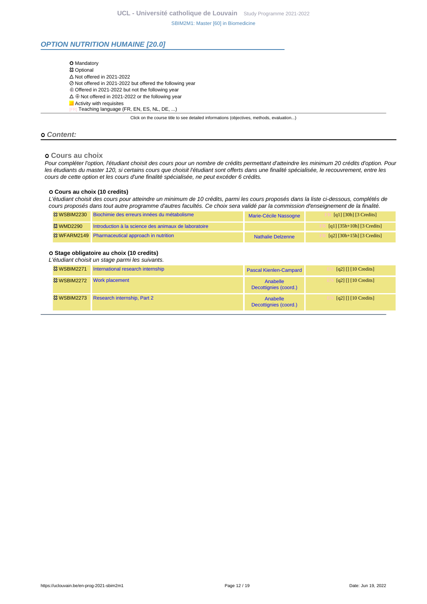### **OPTION NUTRITION HUMAINE [20.0]**

| <b>O</b> Mandatory                                             |                                                                                          |
|----------------------------------------------------------------|------------------------------------------------------------------------------------------|
| <b>83 Optional</b>                                             |                                                                                          |
| $\Delta$ Not offered in 2021-2022                              |                                                                                          |
| ⊘ Not offered in 2021-2022 but offered the following year      |                                                                                          |
| $\oplus$ Offered in 2021-2022 but not the following year       |                                                                                          |
| $\Delta \oplus$ Not offered in 2021-2022 or the following year |                                                                                          |
| $\blacksquare$ Activity with requisites                        |                                                                                          |
| [FR] Teaching language (FR, EN, ES, NL, DE, )                  |                                                                                          |
|                                                                | Click on the course title to see detailed informations (objectives, methods, evaluation) |

#### **Content:**

#### **Cours au choix**

Pour compléter l'option, l'étudiant choisit des cours pour un nombre de crédits permettant d'atteindre les minimum 20 crédits d'option. Pour les étudiants du master 120, si certains cours que choisit l'étudiant sont offerts dans une finalité spécialisée, le recouvrement, entre les cours de cette option et les cours d'une finalité spécialisée, ne peut excéder 6 crédits.

#### **Cours au choix (10 credits)**

L'étudiant choisit des cours pour atteindre un minimum de 10 crédits, parmi les cours proposés dans la liste ci-dessous, complétés de cours proposés dans tout autre programme d'autres facultés. Ce choix sera validé par la commission d'enseignement de la finalité.

|                   | <sup>23</sup> WSBIM2230 Biochimie des erreurs innées du métabolisme | Marie-Cécile Nassogne    | [q1] [30h] [3 Credits]                    |
|-------------------|---------------------------------------------------------------------|--------------------------|-------------------------------------------|
| <b>23 WMD2290</b> | Introduction à la science des animaux de laboratoire                |                          | [q1] $[35h+10h]$ [3 Credits]              |
|                   | <sup>33</sup> WFARM2149 Pharmaceutical approach in nutrition        | <b>Nathalie Delzenne</b> | $\lceil q^2 \rceil$ [30h+15h] [3 Credits] |

#### **Stage obligatoire au choix (10 credits)**

L'étudiant choisit un stage parmi les suivants.

| <b>&amp; WSBIM2271</b> | International research internship        | <b>Pascal Kienlen-Campard</b>            | $\lceil q^2 \rceil \lceil \lceil 10 \rceil \rceil$ |
|------------------------|------------------------------------------|------------------------------------------|----------------------------------------------------|
|                        | <sup>33</sup> WSBIM2272 Work placement   | <b>Anabelle</b><br>Decottignies (coord.) | [q2] $\prod$ [10 Credits]                          |
|                        | 83 WSBIM2273 Research internship, Part 2 | Anabelle<br>Decottignies (coord.)        | $\lceil q^2 \rceil \lceil \lceil 10 \rceil \rceil$ |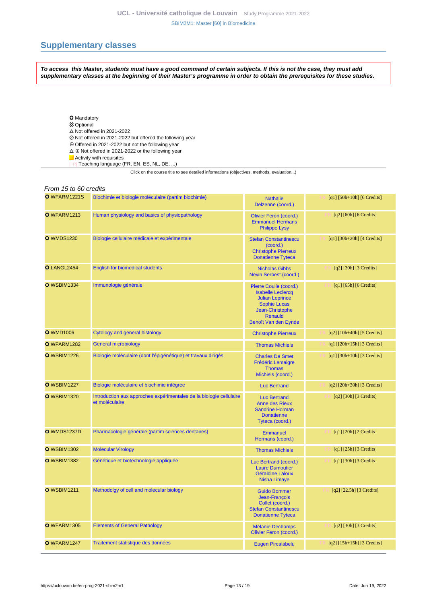# <span id="page-12-0"></span>**Supplementary classes**

**To access this Master, students must have a good command of certain subjects. If this is not the case, they must add supplementary classes at the beginning of their Master's programme in order to obtain the prerequisites for these studies.**

- O Mandatory
- **83 Optional**
- $\triangle$  Not offered in 2021-2022
- Not offered in 2021-2022 but offered the following year
- Offered in 2021-2022 but not the following year
- $\Delta \oplus$  Not offered in 2021-2022 or the following year
- Activity with requisites
- [FR] Teaching language (FR, EN, ES, NL, DE, ...)

Click on the course title to see detailed informations (objectives, methods, evaluation...)

| From 15 to 60 credits |                                                                                       |                                                                                                                                                           |                                  |  |
|-----------------------|---------------------------------------------------------------------------------------|-----------------------------------------------------------------------------------------------------------------------------------------------------------|----------------------------------|--|
| O WFARM1221S          | Biochimie et biologie moléculaire (partim biochimie)                                  | <b>Nathalie</b><br>Delzenne (coord.)                                                                                                                      | [q1] $[50h+10h]$ [6 Credits]     |  |
| O WFARM1213           | Human physiology and basics of physiopathology                                        | <b>Olivier Feron (coord.)</b><br><b>Emmanuel Hermans</b><br><b>Philippe Lysy</b>                                                                          | $[q2]$ [60h] [6 Credits]         |  |
| <b>O</b> WMDS1230     | Biologie cellulaire médicale et expérimentale                                         | <b>Stefan Constantinescu</b><br>(coord.)<br><b>Christophe Pierreux</b><br><b>Donatienne Tyteca</b>                                                        | $[q1]$ [30h+20h] [4 Credits]     |  |
| O LANGL2454           | <b>English for biomedical students</b>                                                | <b>Nicholas Gibbs</b><br>Nevin Serbest (coord.)                                                                                                           | $[q2]$ [30h] [3 Credits]         |  |
| <b>O</b> WSBIM1334    | Immunologie générale                                                                  | Pierre Coulie (coord.)<br><b>Isabelle Leclercq</b><br><b>Julian Leprince</b><br><b>Sophie Lucas</b><br>Jean-Christophe<br>Renauld<br>Benoît Van den Eynde | $[q1]$ [65h] [6 Credits]         |  |
| <b>O</b> WMD1006      | Cytology and general histology                                                        | <b>Christophe Pierreux</b>                                                                                                                                | $[q2]$ [10h+40h] [5 Credits]     |  |
| O WFARM1282           | <b>General microbiology</b>                                                           | <b>Thomas Michiels</b>                                                                                                                                    | $[q1]$ $[20h+15h]$ $[3$ Credits] |  |
| <b>O</b> WSBIM1226    | Biologie moléculaire (dont l'épigénétique) et travaux dirigés                         | <b>Charles De Smet</b><br><b>Frédéric Lemaigre</b><br><b>Thomas</b><br>Michiels (coord.)                                                                  | $[q1]$ [30h+10h] [3 Credits]     |  |
| <b>O</b> WSBIM1227    | Biologie moléculaire et biochimie intégrée                                            | <b>Luc Bertrand</b>                                                                                                                                       | $[q2]$ [20h+30h] [3 Credits]     |  |
| <b>O</b> WSBIM1320    | Introduction aux approches expérimentales de la biologie cellulaire<br>et moléculaire | <b>Luc Bertrand</b><br><b>Anne des Rieux</b><br><b>Sandrine Horman</b><br><b>Donatienne</b><br>Tyteca (coord.)                                            | $[q2]$ [30h] [3 Credits]         |  |
| <b>O</b> WMDS1237D    | Pharmacologie générale (partim sciences dentaires)                                    | <b>Emmanuel</b><br>Hermans (coord.)                                                                                                                       | $[q1]$ [20h] [2 Credits]         |  |
| <b>O</b> WSBIM1302    | <b>Molecular Virology</b>                                                             | <b>Thomas Michiels</b>                                                                                                                                    | $[q1]$ [25h] [3 Credits]         |  |
| <b>O</b> WSBIM1382    | Génétique et biotechnologie appliquée                                                 | Luc Bertrand (coord.)<br><b>Laure Dumoutier</b><br><b>Géraldine Laloux</b><br><b>Nisha Limaye</b>                                                         | $[q1]$ [30h] [3 Credits]         |  |
| <b>O</b> WSBIM1211    | Methodolgy of cell and molecular biology                                              | <b>Guido Bommer</b><br>Jean-François<br>Collet (coord.)<br><b>Stefan Constantinescu</b><br><b>Donatienne Tyteca</b>                                       | $[q2]$ [22.5h] [3 Credits]       |  |
| <b>O</b> WFARM1305    | <b>Elements of General Pathology</b>                                                  | <b>Mélanie Dechamps</b><br><b>Olivier Feron (coord.)</b>                                                                                                  | $[q2]$ [30h] [3 Credits]         |  |
| O WFARM1247           | Traitement statistique des données                                                    | <b>Eugen Pircalabelu</b>                                                                                                                                  | $[q2]$ [15h+15h] [3 Credits]     |  |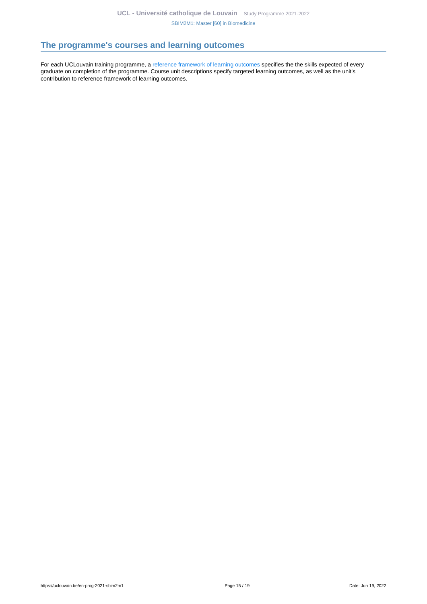# <span id="page-14-0"></span>**The programme's courses and learning outcomes**

For each UCLouvain training programme, a [reference framework of learning outcomes](https://uclouvain.be/en-prog-2021-sbim2m1-competences_et_acquis.html) specifies the the skills expected of every graduate on completion of the programme. Course unit descriptions specify targeted learning outcomes, as well as the unit's contribution to reference framework of learning outcomes.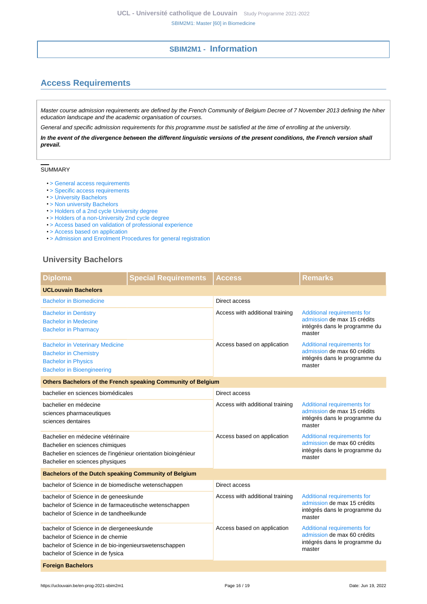# **SBIM2M1 - Information**

# <span id="page-15-1"></span><span id="page-15-0"></span>**Access Requirements**

Master course admission requirements are defined by the French Community of Belgium Decree of 7 November 2013 defining the hiher education landscape and the academic organisation of courses.

General and specific admission requirements for this programme must be satisfied at the time of enrolling at the university.

**In the event of the divergence between the different linguistic versions of the present conditions, the French version shall prevail.**

### SUMMARY

- [> General access requirements](https://uclouvain.be/en-prog-2021-sbim2m1-cond_gen_adm_masters)
- > Specific access requirements
- [> University Bachelors](#page-15-2)
- [> Non university Bachelors](#page-16-0)
- [> Holders of a 2nd cycle University degree](#page-16-1)
- [> Holders of a non-University 2nd cycle degree](#page-16-2)
- [> Access based on validation of professional experience](#page-16-3)
- [> Access based on application](#page-16-4)
- [> Admission and Enrolment Procedures for general registration](#page-16-5)

### <span id="page-15-2"></span>**University Bachelors**

| <b>Diploma</b>                                                                                                                                                             | <b>Special Requirements</b> | <b>Access</b>                   | Remarks                                                                                               |  |  |
|----------------------------------------------------------------------------------------------------------------------------------------------------------------------------|-----------------------------|---------------------------------|-------------------------------------------------------------------------------------------------------|--|--|
| <b>UCLouvain Bachelors</b>                                                                                                                                                 |                             |                                 |                                                                                                       |  |  |
| <b>Bachelor in Biomedicine</b>                                                                                                                                             |                             | Direct access                   |                                                                                                       |  |  |
| <b>Bachelor in Dentistry</b><br><b>Bachelor in Medecine</b><br><b>Bachelor in Pharmacy</b>                                                                                 |                             | Access with additional training | Additional requirements for<br>admission de max 15 crédits<br>intégrés dans le programme du<br>master |  |  |
| <b>Bachelor in Veterinary Medicine</b><br><b>Bachelor in Chemistry</b><br><b>Bachelor in Physics</b><br><b>Bachelor in Bioengineering</b>                                  |                             | Access based on application     | Additional requirements for<br>admission de max 60 crédits<br>intégrés dans le programme du<br>master |  |  |
| Others Bachelors of the French speaking Community of Belgium                                                                                                               |                             |                                 |                                                                                                       |  |  |
| bachelier en sciences biomédicales                                                                                                                                         |                             | Direct access                   |                                                                                                       |  |  |
| bachelier en médecine<br>sciences pharmaceutiques<br>sciences dentaires                                                                                                    |                             | Access with additional training | Additional requirements for<br>admission de max 15 crédits<br>intégrés dans le programme du<br>master |  |  |
| Bachelier en médecine vétérinaire<br>Bachelier en sciences chimiques<br>Bachelier en sciences de l'ingénieur orientation bioingénieur<br>Bachelier en sciences physiques   |                             | Access based on application     | Additional requirements for<br>admission de max 60 crédits<br>intégrés dans le programme du<br>master |  |  |
| <b>Bachelors of the Dutch speaking Community of Belgium</b>                                                                                                                |                             |                                 |                                                                                                       |  |  |
| bachelor of Science in de biomedische wetenschappen                                                                                                                        |                             | Direct access                   |                                                                                                       |  |  |
| bachelor of Science in de geneeskunde<br>bachelor of Science in de farmaceutische wetenschappen<br>bachelor of Science in de tandheelkunde                                 |                             | Access with additional training | Additional requirements for<br>admission de max 15 crédits<br>intégrés dans le programme du<br>master |  |  |
| bachelor of Science in de diergeneeskunde<br>bachelor of Science in de chemie<br>bachelor of Science in de bio-ingenieurswetenschappen<br>bachelor of Science in de fysica |                             | Access based on application     | Additional requirements for<br>admission de max 60 crédits<br>intégrés dans le programme du<br>master |  |  |
| <b>Foreign Bachelors</b>                                                                                                                                                   |                             |                                 |                                                                                                       |  |  |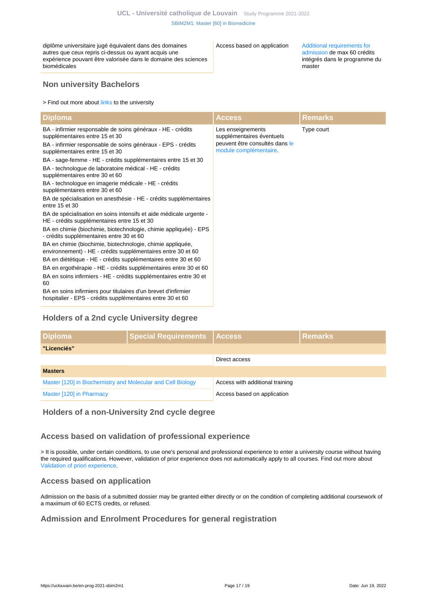diplôme universitaire jugé équivalent dans des domaines autres que ceux repris ci-dessus ou ayant acquis une expérience pouvant être valorisée dans le domaine des sciences biomédicales

Access based on application [Additional requirements for](https://uclouvain.be/en-prog-2021-sbim2m-module_complementaire.html)

[admission](https://uclouvain.be/en-prog-2021-sbim2m-module_complementaire.html) de max 60 crédits intégrés dans le programme du master

## <span id="page-16-0"></span>**Non university Bachelors**

> Find out more about [links](https://uclouvain.be/fr/etudier/passerelles) to the university

| <b>Diploma</b>                                                                                                               | Access                                                   | <b>Remarks</b> |
|------------------------------------------------------------------------------------------------------------------------------|----------------------------------------------------------|----------------|
| BA - infirmier responsable de soins généraux - HE - crédits<br>supplémentaires entre 15 et 30                                | Les enseignements<br>supplémentaires éventuels           | Type court     |
| BA - infirmier responsable de soins généraux - EPS - crédits<br>supplémentaires entre 15 et 30                               | peuvent être consultés dans le<br>module complémentaire. |                |
| BA - sage-femme - HE - crédits supplémentaires entre 15 et 30                                                                |                                                          |                |
| BA - technologue de laboratoire médical - HE - crédits<br>supplémentaires entre 30 et 60                                     |                                                          |                |
| BA - technologue en imagerie médicale - HE - crédits<br>supplémentaires entre 30 et 60                                       |                                                          |                |
| BA de spécialisation en anesthésie - HE - crédits supplémentaires<br>entre 15 et 30                                          |                                                          |                |
| BA de spécialisation en soins intensifs et aide médicale urgente -<br>HE - crédits supplémentaires entre 15 et 30            |                                                          |                |
| BA en chimie (biochimie, biotechnologie, chimie appliquée) - EPS<br>- crédits supplémentaires entre 30 et 60                 |                                                          |                |
| BA en chimie (biochimie, biotechnologie, chimie appliquée,<br>environnement) - HE - crédits supplémentaires entre 30 et 60   |                                                          |                |
| BA en diététique - HE - crédits supplémentaires entre 30 et 60                                                               |                                                          |                |
| BA en ergothérapie - HE - crédits supplémentaires entre 30 et 60                                                             |                                                          |                |
| BA en soins infirmiers - HE - crédits supplémentaires entre 30 et<br>60                                                      |                                                          |                |
| BA en soins infirmiers pour titulaires d'un brevet d'infirmier<br>hospitalier - EPS - crédits supplémentaires entre 30 et 60 |                                                          |                |

# <span id="page-16-1"></span>**Holders of a 2nd cycle University degree**

| <b>Diploma</b>                                              | Special Requirements   Access |                                 | <b>Remarks</b> |  |  |
|-------------------------------------------------------------|-------------------------------|---------------------------------|----------------|--|--|
| "Licenciés"                                                 |                               |                                 |                |  |  |
|                                                             |                               | Direct access                   |                |  |  |
| <b>Masters</b>                                              |                               |                                 |                |  |  |
| Master [120] in Biochemistry and Molecular and Cell Biology |                               | Access with additional training |                |  |  |
| Master [120] in Pharmacy                                    |                               | Access based on application     |                |  |  |

<span id="page-16-2"></span>**Holders of a non-University 2nd cycle degree**

## <span id="page-16-3"></span>**Access based on validation of professional experience**

> It is possible, under certain conditions, to use one's personal and professional experience to enter a university course without having the required qualifications. However, validation of prior experience does not automatically apply to all courses. Find out more about [Validation of priori experience](https://uclouvain.be/en/study/vae).

### <span id="page-16-4"></span>**Access based on application**

Admission on the basis of a submitted dossier may be granted either directly or on the condition of completing additional coursework of a maximum of 60 ECTS credits, or refused.

### <span id="page-16-5"></span>**Admission and Enrolment Procedures for general registration**